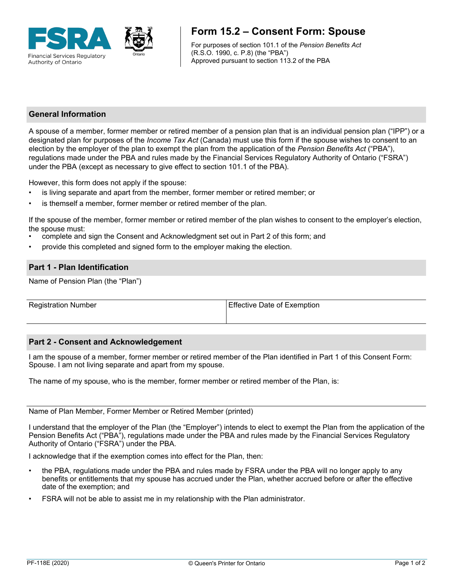

# **Form 15.2 – Consent Form: Spouse**

For purposes of section 101.1 of the *Pension Benefits Act* (R.S.O. 1990, c. P.8) (the "PBA") Approved pursuant to section 113.2 of the PBA

## **General Information**

A spouse of a member, former member or retired member of a pension plan that is an individual pension plan ("IPP") or a designated plan for purposes of the *Income Tax Act* (Canada) must use this form if the spouse wishes to consent to an election by the employer of the plan to exempt the plan from the application of the *Pension Benefits Act* ("PBA"), regulations made under the PBA and rules made by the Financial Services Regulatory Authority of Ontario ("FSRA") under the PBA (except as necessary to give effect to section 101.1 of the PBA).

However, this form does not apply if the spouse:

- is living separate and apart from the member, former member or retired member; or
- is themself a member, former member or retired member of the plan.

If the spouse of the member, former member or retired member of the plan wishes to consent to the employer's election, the spouse must:

- complete and sign the Consent and Acknowledgment set out in Part 2 of this form; and
- provide this completed and signed form to the employer making the election.

#### **Part 1 - Plan Identification**

Name of Pension Plan (the "Plan")

Registration Number **Effective Date of Exemption** 

#### **Part 2 - Consent and Acknowledgement**

I am the spouse of a member, former member or retired member of the Plan identified in Part 1 of this Consent Form: Spouse. I am not living separate and apart from my spouse.

The name of my spouse, who is the member, former member or retired member of the Plan, is:

Name of Plan Member, Former Member or Retired Member (printed)

I understand that the employer of the Plan (the "Employer") intends to elect to exempt the Plan from the application of the Pension Benefits Act ("PBA"), regulations made under the PBA and rules made by the Financial Services Regulatory Authority of Ontario ("FSRA") under the PBA.

I acknowledge that if the exemption comes into effect for the Plan, then:

- the PBA, regulations made under the PBA and rules made by FSRA under the PBA will no longer apply to any benefits or entitlements that my spouse has accrued under the Plan, whether accrued before or after the effective date of the exemption; and
- FSRA will not be able to assist me in my relationship with the Plan administrator.